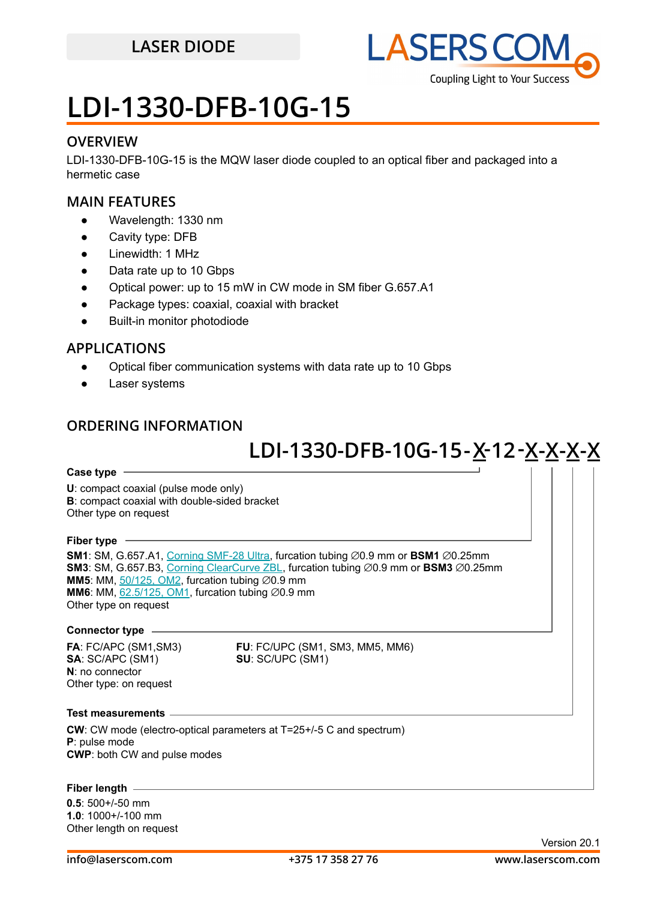

## **LDI-1330-DFB-10G-15**

#### **OVERVIEW**

LDI-1330-DFB-10G-15 is the MQW laser diode coupled to an optical fiber and packaged into a hermetic case

#### **MAIN FEATURES**

- Wavelength: 1330 nm
- Cavity type: DFB
- Linewidth: 1 MHz
- Data rate up to 10 Gbps
- Optical power: up to 15 mW in CW mode in SM fiber G.657.A1
- Package types: coaxial, coaxial with bracket
- Built-in monitor photodiode

### **APPLICATIONS**

- Optical fiber communication systems with data rate up to 10 Gbps
- Laser systems

### **ORDERING INFORMATION**

## **LDI-1330-DFB-10G-15 -X 12-X-X-X-X -**

#### **Case type**

**U**: compact coaxial (pulse mode only) **B**: compact coaxial with double-sided bracket Other type on request

#### **Fiber type**

**SM1**: SM, G.657.A1, [Corning SMF-28 Ultra](https://drive.google.com/file/d/1JeMdVLHUIGFdzKdBnzaeOmjsa81S284f/view?usp=sharing), furcation tubing ∅0.9 mm or **BSM1** ∅0.25mm **SM3**: SM, G.657.B3, [Corning ClearCurve ZBL](https://drive.google.com/file/d/1BnScs4F0ApGayHF4MQJvm8phLaEPHUV0/view?usp=sharing), furcation tubing ⌀0.9 mm or **BSM3** ⌀0.25mm **MM5**: MM,  $50/125$ , OM2, furcation tubing  $\emptyset$ 0.9 mm **MM6**: MM,  $62.5/125$ , OM1, furcation tubing  $\varnothing$ 0.9 mm Other type on request

#### **Connector type**

**N**: no connector Other type: on request

**FA**: FC/APC (SM1,SM3) **FU**: FC/UPC (SM1, SM3, MM5, MM6) **SU: SC/UPC (SM1)** 

#### **Test measurements**

**CW**: CW mode (electro-optical parameters at T=25+/-5 C and spectrum) **P**: pulse mode **CWP**: both CW and pulse modes

#### **Fiber length**

**0.5**: 500+/-50 mm **1.0**: 1000+/-100 mm Other length on request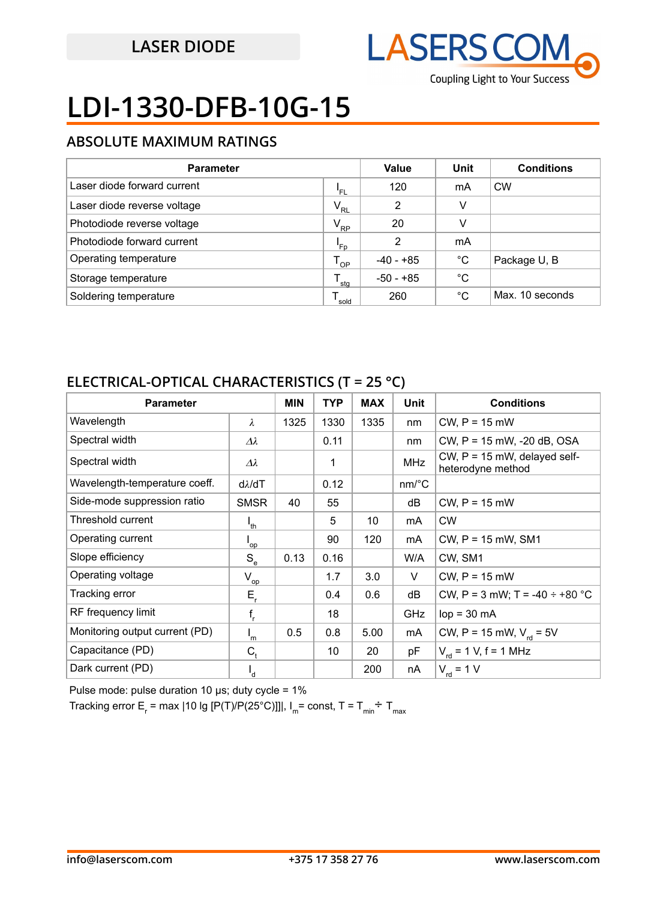

# **LDI-1330-DFB-10G-15**

### **ABSOLUTE MAXIMUM RATINGS**

| <b>Parameter</b>            | Value<br>Unit    |                | <b>Conditions</b> |                 |
|-----------------------------|------------------|----------------|-------------------|-----------------|
| Laser diode forward current | 'FL              | 120            | mA                | <b>CW</b>       |
| Laser diode reverse voltage | $V_{RL}$         | $\overline{2}$ | v                 |                 |
| Photodiode reverse voltage  | $V_{RP}$         | 20             | v                 |                 |
| Photodiode forward current  | 'Fp              | 2              | mA                |                 |
| Operating temperature       | $T_{OP}$         | -40 - +85      | °C                | Package U, B    |
| Storage temperature         | $^{\bullet}$ stg | $-50 - +85$    | °C                |                 |
| Soldering temperature       | sold             | 260            | °C                | Max. 10 seconds |

### **ELECTRICAL-OPTICAL CHARACTERISTICS (T = 25 °C)**

| <b>Parameter</b>               |                            | <b>MIN</b> | <b>TYP</b> | <b>MAX</b> | Unit                  | <b>Conditions</b>                                   |
|--------------------------------|----------------------------|------------|------------|------------|-----------------------|-----------------------------------------------------|
| Wavelength                     | $\lambda$                  | 1325       | 1330       | 1335       | nm                    | $CW$ , $P = 15$ mW                                  |
| Spectral width                 | $\Delta\lambda$            |            | 0.11       |            | nm                    | CW, P = 15 mW, -20 dB, OSA                          |
| Spectral width                 | $\varDelta\lambda$         |            | 1          |            | <b>MHz</b>            | CW, $P = 15$ mW, delayed self-<br>heterodyne method |
| Wavelength-temperature coeff.  | $d\lambda/dT$              |            | 0.12       |            | $nm$ <sup>o</sup> $C$ |                                                     |
| Side-mode suppression ratio    | <b>SMSR</b>                | 40         | 55         |            | dB                    | $CW$ , $P = 15$ mW                                  |
| Threshold current              | $I_{th}$                   |            | 5          | 10         | mA                    | <b>CW</b>                                           |
| Operating current              | $\mathsf{I}_{\mathsf{op}}$ |            | 90         | 120        | mA                    | $CW$ , $P = 15$ mW, SM1                             |
| Slope efficiency               | $S_e$                      | 0.13       | 0.16       |            | W/A                   | CW, SM1                                             |
| Operating voltage              | $V_{op}$                   |            | 1.7        | 3.0        | V                     | $CW$ , $P = 15$ mW                                  |
| Tracking error                 | $E_r$                      |            | 0.4        | 0.6        | dB                    | CW, P = 3 mW; T = -40 $\div$ +80 °C                 |
| RF frequency limit             | $f_r$                      |            | 18         |            | GHz                   | $lop = 30$ mA                                       |
| Monitoring output current (PD) | $\mathsf{I}_{\mathsf{m}}$  | 0.5        | 0.8        | 5.00       | mA                    | CW, P = 15 mW, $V_{rel}$ = 5V                       |
| Capacitance (PD)               | $C_{t}$                    |            | 10         | 20         | pF                    | $V_{\text{rd}} = 1$ V, f = 1 MHz                    |
| Dark current (PD)              | ı,                         |            |            | 200        | nA                    | $V_{\text{rd}}$ = 1 V                               |

Pulse mode: pulse duration 10 μs; duty cycle = 1%

Tracking error E<sub>r</sub> = max |10 lg [P(T)/P(25°C)]]|, I<sub>m</sub>= const, T = T<sub>min</sub>÷ T<sub>max</sub>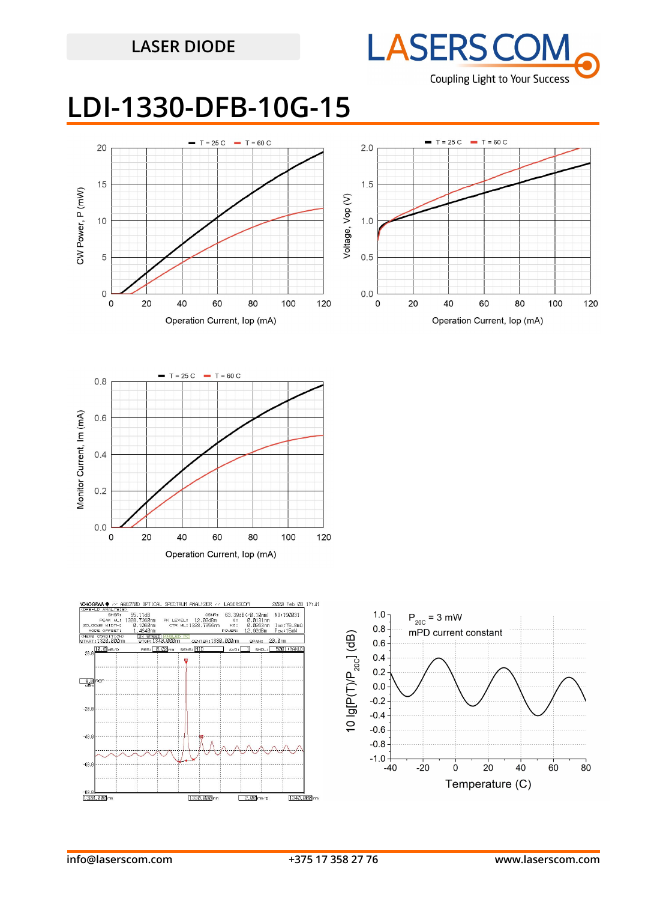

## **LDI-1330-DFB-10G-15**







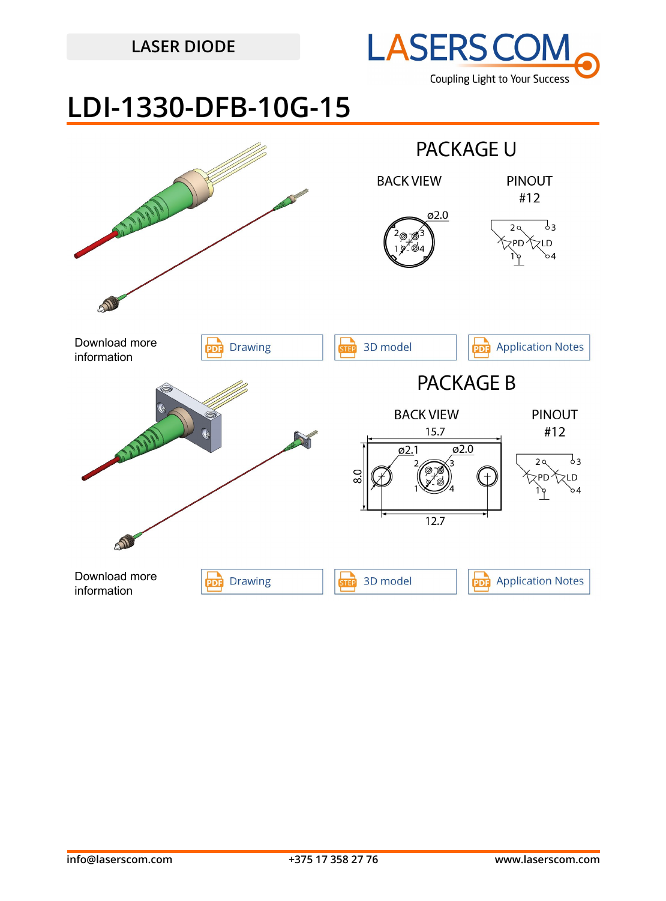

## **LDI-1330-DFB-10G-15**